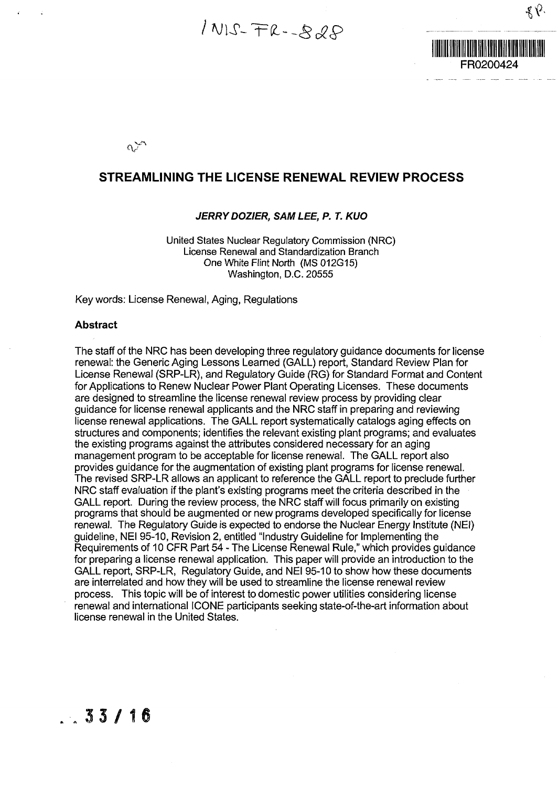$1NIS-FR-SdS$ 



٤V۰

 $\alpha^{\star}$ 

#### **STREAMLINING THE LICENSE RENEWAL REVIEW PROCESS**

#### **JERRY DOZIER, SAM LEE, P. T. KUO**

United States Nuclear Regulatory Commission (NRC) License Renewal and Standardization Branch One White Flint North (MS 012G15)<br>Washington, D.C. 20555

Key words: License Renewal, Aging, Regulations

#### **Abstract Abstract**

The staff of the NRC has been developing three regulatory guidance documents for license renewal: the Generic Aging Lessons Learned (GALL) report, Standard Review Plan for License Renewal (SRP-LR), and Regulatory Guide (RG) for Standard Format and Content for Applications to Renew Nuclear Power Plant Operating Licenses. These documents are designed to streamline the license renewal review process by providing clear guidance for license renewal applicants and the NRC staff in preparing and reviewing license renewal applications. The GALL report systematically catalogs aging effects on structures and components; identifies the relevant existing plant programs; and evaluates the existing programs against the attributes considered necessary for an aging management program to be acceptable for license renewal. The GALL report also provides guidance for the augmentation of existing plant programs for license renewal. The revised SRP-LR allows an applicant to reference the GALL report to preclude further NRC staff evaluation if the plant's existing programs meet the criteria described in the GALL report. During the review process, the NRC staff will focus primarily on existing programs that should be augmented or new programs developed specifically for license renewal. The Regulatory Guide is expected to endorse the Nuclear Energy Institute (NEI) guideline, NEI 95-10, Revision 2, entitled "Industry Guideline for Implementing the Requirements of 10 CFR Part 54 - The License Renewal Rule," which provides guidance for preparing a license renewal application. This paper will provide an introduction to the GALL report, SRP-LR, Regulatory Guide, and NEI 95-10 to show how these documents are interrelated and how they will be used to streamline the license renewal review process. This topic will be of interest to domestic power utilities considering license renewal and international ICONE participants seeking state-of-the-art information about license renewal in the United States.

### $.33/16$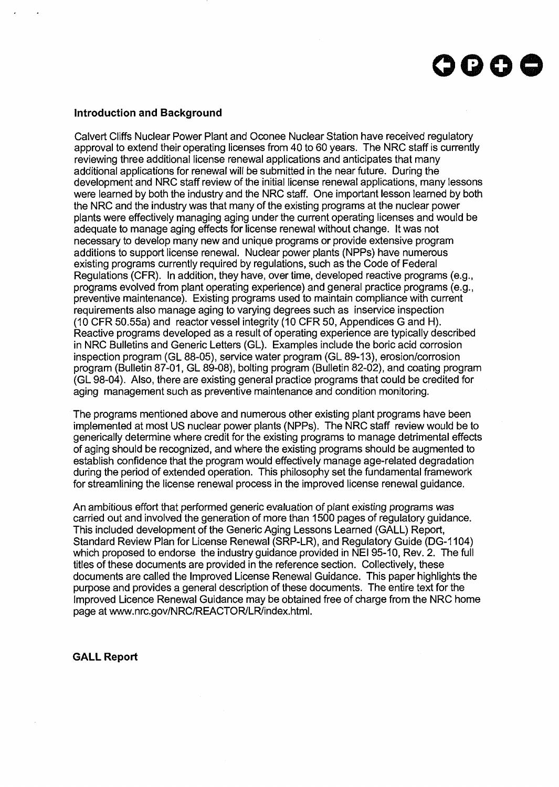## **oooe**

#### **Introduction and Background**

Calvert Cliffs Nuclear Power Plant and Oconee Nuclear Station have received regulatory approval to extend their operating licenses from 40 to 60 years. The NRC staff is currently reviewing three additional license renewal applications and anticipates that many additional applications for renewal will be submitted in the near future. During the development and NRC staff review of the initial license renewal applications, many lessons were learned by both the industry and the NRC staff. One important lesson learned by both the NRC and the industry was that many of the existing programs at the nuclear power plants were effectively managing aging under the current operating licenses and would be adequate to manage aging effects for license renewal without change. It was not necessary to develop many new and unique programs or provide extensive program additions to support license renewal. Nuclear power plants (NPPs) have numerous existing programs currently required by regulations, such as the Code of Federal Regulations (CFR). In addition, they have, over time, developed reactive programs (e.g., programs evolved from plant operating experience) and general practice programs (e.g., preventive maintenance). Existing programs used to maintain compliance with current requirements also manage aging to varying degrees such as inservice inspection (10 CFR 50.55a) and reactor vessel integrity (10 CFR 50, Appendices G and H). Reactive programs developed as a result of operating experience are typically described in NRC Bulletins and Generic Letters (GL). Examples include the boric acid corrosion inspection program (GL 88-05), service water program (GL 89-13), erosion/corrosion program (Bulletin 87-01, GL 89-08), bolting program (Bulletin 82-02), and coating program (GL 98-04). Also, there are existing general practice programs that could be credited for aging management such as preventive maintenance and condition monitoring.

The programs mentioned above and numerous other existing plant programs have been implemented at most US nuclear power plants (NPPs). The NRC staff review would be to generically determine where credit for the existing programs to manage detrimental effects of aging should be recognized, and where the existing programs should be augmented to establish confidence that the program would effectively manage age-related degradation during the period of extended operation. This philosophy set the fundamental framework for streamlining the license renewal process in the improved license renewal guidance.

An ambitious effort that performed generic evaluation of plant existing programs was carried out and involved the generation of more than 1500 pages of regulatory guidance. This included development of the Generic Aging Lessons Learned (GALL) Report, Standard Review Plan for License Renewal (SRP-LR), and Regulatory Guide (DG-1104) which proposed to endorse the industry guidance provided in NEI 95-10, Rev. 2. The full titles of these documents are provided in the reference section. Collectively, these documents are called the Improved License Renewal Guidance. This paper highlights the purpose and provides a general description of these documents. The entire text for the Improved Licence Renewal Guidance may be obtained free of charge from the NRC home page at www.nrc.gov/NRC/REACTOR/LR/index.html.

#### **GALL Report**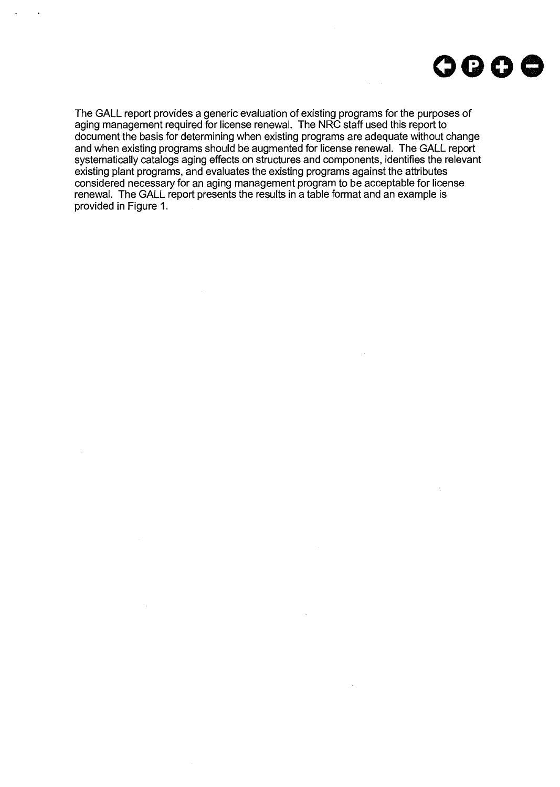

The GALL report provides a generic evaluation of existing programs for the purposes of aging management required for license renewal. The NRC staff used this report to document the basis for determining when existing programs are adequate without change and when existing programs should be augmented for license renewal. The GALL report systematically catalogs aging effects on structures and components, identifies the relevant existing plant programs, and evaluates the existing programs against the attributes considered necessary for an aging management program to be acceptable for license renewal. The GALL report presents the results in a table format and an example is provided in Figure 1.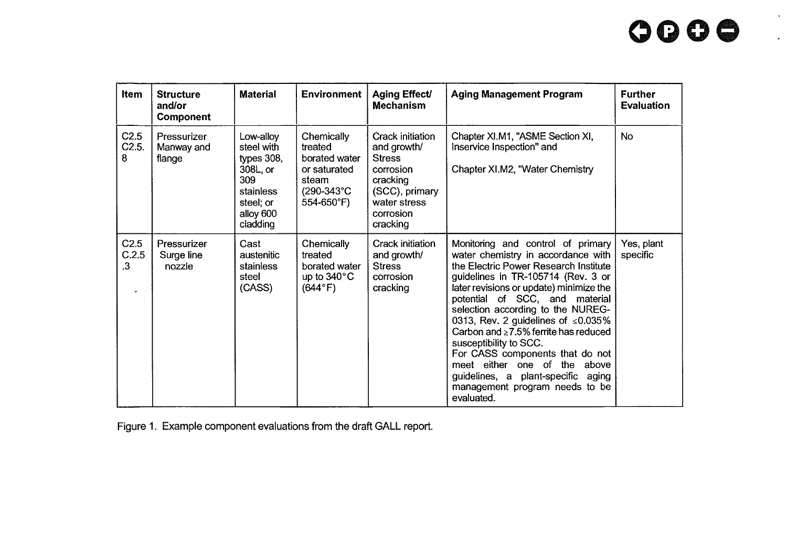# **oooe**

| <b>Item</b>                            | <b>Structure</b><br>and/or<br><b>Component</b> | <b>Material</b>                                                                                                | <b>Environment</b>                                                                          | <b>Aging Effect/</b><br><b>Mechanism</b>                                                                                             | <b>Aging Management Program</b>                                                                                                                                                                                                                                                                                                                                                                                                                                                                                                                           | <b>Further</b><br><b>Evaluation</b> |
|----------------------------------------|------------------------------------------------|----------------------------------------------------------------------------------------------------------------|---------------------------------------------------------------------------------------------|--------------------------------------------------------------------------------------------------------------------------------------|-----------------------------------------------------------------------------------------------------------------------------------------------------------------------------------------------------------------------------------------------------------------------------------------------------------------------------------------------------------------------------------------------------------------------------------------------------------------------------------------------------------------------------------------------------------|-------------------------------------|
| C2.5<br>C2.5.<br>8                     | Pressurizer<br>Manway and<br>flange            | Low-alloy<br>steel with<br>types $308$ ,<br>308L, or<br>309<br>stainless<br>steel; or<br>alloy 600<br>cladding | Chemically<br>treated<br>borated water<br>or saturated<br>steam<br>(290-343°C<br>554-650°F) | Crack initiation<br>and growth/<br><b>Stress</b><br>corrosion<br>cracking<br>(SCC), primary<br>water stress<br>corrosion<br>cracking | Chapter XI.M1, "ASME Section XI,<br>Inservice Inspection" and<br>Chapter XI.M2, "Water Chemistry                                                                                                                                                                                                                                                                                                                                                                                                                                                          | No.                                 |
| C <sub>2.5</sub><br>C.2.5<br>$\cdot$ 3 | Pressurizer<br>Surge line<br>nozzle            | Cast<br>austenitic<br>stainless<br>steel<br>(CASS)                                                             | Chemically<br>treated<br>borated water<br>up to $340^{\circ}$ C<br>$(644^{\circ}F)$         | Crack initiation<br>and growth/<br><b>Stress</b><br>corrosion<br>cracking                                                            | Monitoring and control of primary<br>water chemistry in accordance with<br>the Electric Power Research Institute<br>guidelines in TR-105714 (Rev. 3 or<br>later revisions or update) minimize the<br>potential of SCC, and material<br>selection according to the NUREG-<br>0313, Rev. 2 guidelines of $\leq 0.035\%$<br>Carbon and $\geq$ 7.5% ferrite has reduced<br>susceptibility to SCC.<br>For CASS components that do not<br>meet either one of the above<br>guidelines, a plant-specific<br>aging<br>management program needs to be<br>evaluated. | Yes, plant<br>specific              |

Figure 1. Example component evaluations from the draft GALL report.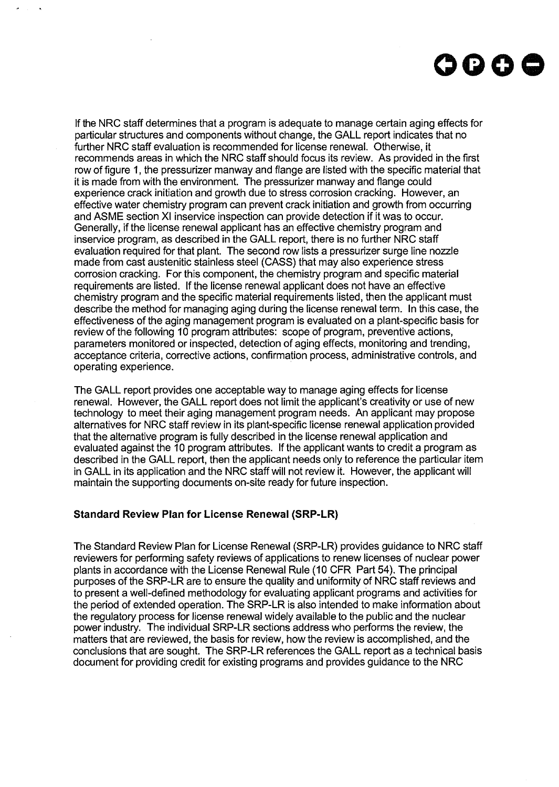

If the NRC staff determines that a program is adequate to manage certain aging effects for particular structures and components without change, the GALL report indicates that no further NRC staff evaluation is recommended for license renewal. Otherwise, it recommends areas in which the NRC staff should focus its review. As provided in the first row of figure 1, the pressurizer manway and flange are listed with the specific material that it is made from with the environment. The pressurizer manway and flange could experience crack initiation and growth due to stress corrosion cracking. However, an effective water chemistry program can prevent crack initiation and growth from occurring and ASME section XI inservice inspection can provide detection if it was to occur. Generally, if the license renewal applicant has an effective chemistry program and inservice program, as described in the GALL report, there is no further NRC staff evaluation required for that plant. The second row lists a pressurizer surge line nozzle made from cast austenitic stainless steel (CASS) that may also experience stress corrosion cracking. For this component, the chemistry program and specific material requirements are listed. If the license renewal applicant does not have an effective chemistry program and the specific material requirements listed, then the applicant must describe the method for managing aging during the license renewal term. In this case, the effectiveness of the aging management program is evaluated on a plant-specific basis for review of the following 10 program attributes: scope of program, preventive actions, parameters monitored or inspected, detection of aging effects, monitoring and trending, acceptance criteria, corrective actions, confirmation process, administrative controls, and operating experience.

The GALL report provides one acceptable way to manage aging effects for license renewal. However, the GALL report does not limit the applicant's creativity or use of new technology to meet their aging management program needs. An applicant may propose alternatives for NRC staff review in its plant-specific license renewal application provided that the alternative program is fully described in the license renewal application and evaluated against the 10 program attributes. If the applicant wants to credit a program as described in the GALL report, then the applicant needs only to reference the particular item in GALL in its application and the NRC staff will not review it. However, the applicant will maintain the supporting documents on-site ready for future inspection.

#### **Standard Review Plan for License Renewal (SRP-LR)**

The Standard Review Plan for License Renewal (SRP-LR) provides guidance to NRC staff reviewers for performing safety reviews of applications to renew licenses of nuclear power plants in accordance with the License Renewal Rule (10 CFR Part 54). The principal purposes of the SRP-LR are to ensure the quality and uniformity of NRC staff reviews and to present a well-defined methodology for evaluating applicant programs and activities for the period of extended operation. The SRP-LR is also intended to make information about the regulatory process for license renewal widely available to the public and the nuclear power industry. The individual SRP-LR sections address who performs the review, the matters that are reviewed, the basis for review, how the review is accomplished, and the conclusions that are sought. The SRP-LR references the GALL report as a technical basis document for providing credit for existing programs and provides guidance to the NRC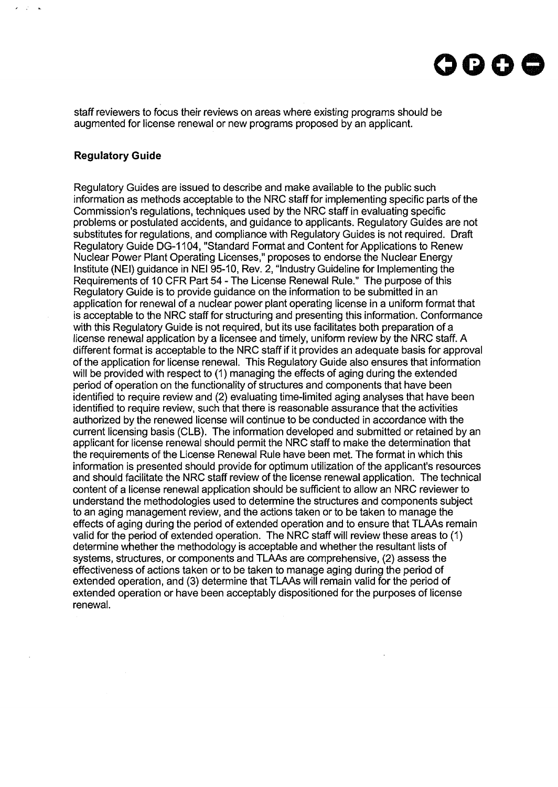

staff reviewers to focus their reviews on areas where existing programs should be augmented for license renewal or new programs proposed by an applicant.

#### **Regulatory Guide**

Regulatory Guides are issued to describe and make available to the public such information as methods acceptable to the NRC staff for implementing specific parts of the Commission's regulations, techniques used by the NRC staff in evaluating specific problems or postulated accidents, and guidance to applicants. Regulatory Guides are not substitutes for regulations, and compliance with Regulatory Guides is not required. Draft Regulatory Guide DG-1104, "Standard Format and Content for Applications to Renew Nuclear Power Plant Operating Licenses," proposes to endorse the Nuclear Energy Institute (NEI) guidance in NEI 95-10, Rev. 2, "Industry Guideline for Implementing the Requirements of 10 CFR Part 54 - The License Renewal Rule." The purpose of this Regulatory Guide is to provide guidance on the information to be submitted in an application for renewal of a nuclear power plant operating license in a uniform format that is acceptable to the NRC staff for structuring and presenting this information. Conformance with this Regulatory Guide is not required, but its use facilitates both preparation of a license renewal application by a licensee and timely, uniform review by the NRC staff. A different format is acceptable to the NRC staff if it provides an adequate basis for approval of the application for license renewal. This Regulatory Guide also ensures that information will be provided with respect to (1) managing the effects of aging during the extended period of operation on the functionality of structures and components that have been identified to require review and (2) evaluating time-limited aging analyses that have been identified to require review, such that there is reasonable assurance that the activities authorized by the renewed license will continue to be conducted in accordance with the current licensing basis (CLB). The information developed and submitted or retained by an applicant for license renewal should permit the NRC staff to make the determination that the requirements of the License Renewal Rule have been met. The format in which this information is presented should provide for optimum utilization of the applicant's resources and should facilitate the NRC staff review of the license renewal application. The technical content of a license renewal application should be sufficient to allow an NRC reviewer to understand the methodologies used to determine the structures and components subject to an aging management review, and the actions taken or to be taken to manage the effects of aging during the period of extended operation and to ensure that TLAAs remain valid for the period of extended operation. The NRC staff will review these areas to (1) determine whether the methodology is acceptable and whether the resultant lists of systems, structures, or components and TLAAs are comprehensive, (2) assess the effectiveness of actions taken or to be taken to manage aging during the period of extended operation, and (3) determine that TLAAs will remain valid for the period of extended operation or have been acceptably dispositioned for the purposes of license renewal.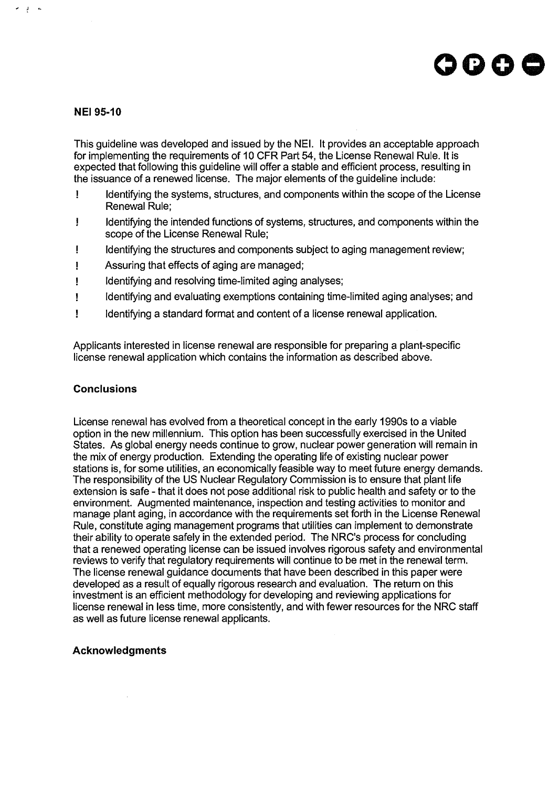## OOOC

#### **NEI 95-10**

 $\label{eq:2} \sigma = \frac{1}{2} \qquad \sigma$ 

This guideline was developed and issued by the NEI. It provides an acceptable approach for implementing the requirements of 10 CFR Part 54, the License Renewal Rule. It is expected that following this guideline will offer a stable and efficient process, resulting in the issuance of a renewed license. The major elements of the guideline include:

- ! Identifying the systems, structures, and components within the scope of the License Renewal Rule;
- ! Identifying the intended functions of systems, structures, and components within the scope of the License Renewal Rule;
- ! Identifying the structures and components subject to aging management review;
- ! Assuring that effects of aging are managed;
- ! Identifying and resolving time-limited aging analyses;
- ! Identifying and evaluating exemptions containing time-limited aging analyses; and
- ! Identifying a standard format and content of a license renewal application.

Applicants interested in license renewal are responsible for preparing a plant-specific license renewal application which contains the information as described above.

#### **Conclusions**

License renewal has evolved from a theoretical concept in the early 1990s to a viable option in the new millennium. This option has been successfully exercised in the United States. As global energy needs continue to grow, nuclear power generation will remain in the mix of energy production. Extending the operating life of existing nuclear power stations is, for some utilities, an economically feasible way to meet future energy demands. The responsibility of the US Nuclear Regulatory Commission is to ensure that plant life extension is safe - that it does not pose additional risk to public health and safety or to the environment. Augmented maintenance, inspection and testing activities to monitor and manage plant aging, in accordance with the requirements set forth in the License Renewal Rule, constitute aging management programs that utilities can implement to demonstrate their ability to operate safely in the extended period. The NRC's process for concluding that a renewed operating license can be issued involves rigorous safety and environmental reviews to verify that regulatory requirements will continue to be met in the renewal term. The license renewal guidance documents that have been described in this paper were developed as a result of equally rigorous research and evaluation. The return on this investment is an efficient methodology for developing and reviewing applications for license renewal in less time, more consistently, and with fewer resources for the NRC staff as well as future license renewal applicants.

#### **Acknowledgments**